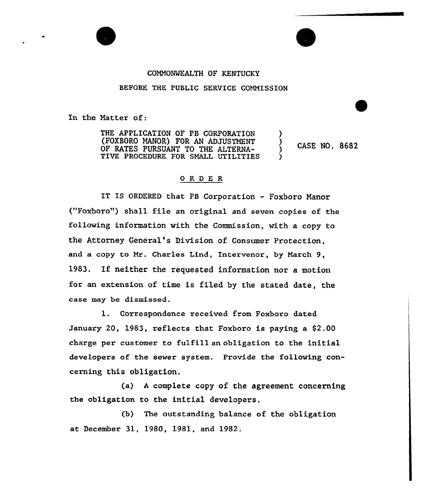## COHNONMEALTH OF KENTUCKY

## BEFORE THE PUBLIC SERVICE COMMISSION

In the Hatter of:

THE APPLICATION OF PB CORPORATION (FOXBORO MANOR) FOR AN ADJUSTMENT OF RATES PURSUANT TO THE ALTERNA-TIVE PROCEDURE FOR SMALL UTILITIES ) CASE NO. 8682 )

## ORDER

IT IS ORDERED that PB Corporation - Foxboro Manor ("Foxboro") shall file an original and seven copies of the following information with the Commission, with a copy to the Attorney General's Division of Consumer Protection, and a copy to Mx. Charles Lind, Intexvenor, by March 9, 1983. If neither the requested information nor <sup>a</sup> motion for an extension of time is filed by the stated date, the case may be dismissed.

1. Correspondence received from Foxboro dated January 20, 1983, reflects that Foxboro is paying a \$2.00 charge per customer to fulfill an obligation to the initial developexs of the sewex system. Provide the following concerning this obligation.

(a) <sup>A</sup> complete copy of the agreement concerning the obligation to the initial developers.

(b) The outstanding balance of the obligation at December 31, 1980, 1981, and 1982.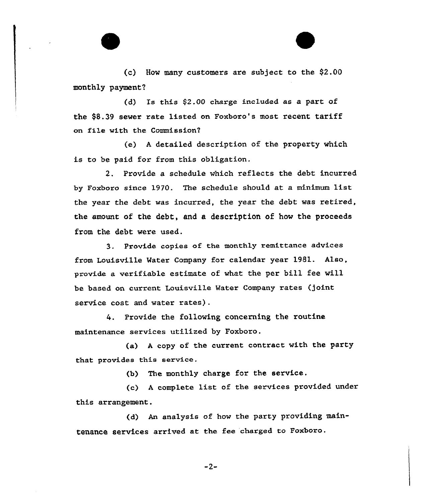(c) How many customers are subject to the \$2.00 monthly payment?

(d) Is this \$2.00 charge included as a part of the \$8.39 sewer xate listed on Foxboro's most. recent tariff on file with the Commission?

(e) <sup>A</sup> detailed description of the property which is to be paid for from this obligation.

2. Provide a schedule which reflects the debt. incurred by Foxboro since 1970. The schedule should at a minimum list the year the debt was incurred, the year the debt was retired, the amount of the debt, and a description of how the proceeds from the debt were used.

3. Provide copies of the monthly remittance advices from Louisville Water Company for calendar year 1981. Also, provide a verifiable estimate of what the per bill fee will be based on cuxxent Louisville Watex Company xates (joint service cost and water rates) .

4. Provide the following concerning the routine maintenance services utilized by Foxboro.

(a) <sup>A</sup> copy of the current contract with the party that provides this service.

(b} The monthly charge for the service.

(c) <sup>A</sup> complete list, of the services provided under this arrangement.

(d) An analysis of how the party providing maintenance services arrived at the fee charged to Foxboro.

 $-2-$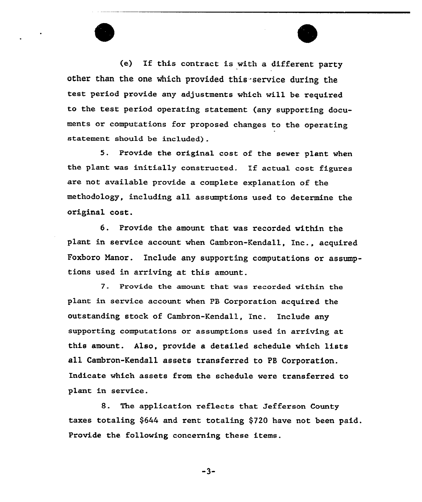(e) If this contract is with a different party other than the one which provided this-service during the test period provide any adjustments which will be required to the test period operating statement (any supporting documents or computations for proposed changes to the operating statement should be included) .

5. Provide the original cost of the sewer plant when the plant was initially constructed. If actual cost figures are not available provide a complete explanation of the methodology, including all assumptions used to determine the original cost.

6. Provide the amount that was recorded within the plant in service account when Cambron-Kendall, Inc., acquired Poxboro Manor. Include any supporting computations or assumptions used in arriving at this amount.

7. Provide the amount that was recorded within the plant in service account when FB Corporation acquired the outstanding stock of Cambron-Kendall, Inc. Include any supporting computations or assumptions used in arriving at this amount. Also, provide a detailed schedule which lists all Cambron-Kendall assets transferred to PB Corporation. Indicate which assets from the schedule were transferred to plant in service.

8. The application reflects that Jefferson County taxes totaling \$644 and rent totaling \$720 have not been paid. Pxovide the following concerning these items.

 $-3-$